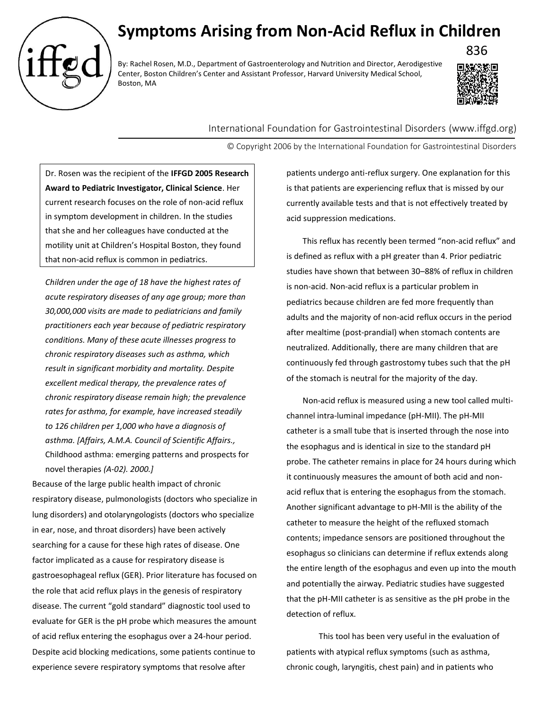

## **Symptoms Arising from Non-Acid Reflux in Children**

By: Rachel Rosen, M.D., Department of Gastroenterology and Nutrition and Director, Aerodigestive Center, Boston Children's Center and Assistant Professor, Harvard University Medical School, Boston, MA



International Foundation for Gastrointestinal Disorders (www.iffgd.org)

© Copyright 2006 by the International Foundation for Gastrointestinal Disorders

Dr. Rosen was the recipient of the **IFFGD 2005 Research Award to Pediatric Investigator, Clinical Science**. Her current research focuses on the role of non-acid reflux in symptom development in children. In the studies that she and her colleagues have conducted at the motility unit at Children's Hospital Boston, they found that non-acid reflux is common in pediatrics.

*Children under the age of 18 have the highest rates of acute respiratory diseases of any age group; more than 30,000,000 visits are made to pediatricians and family practitioners each year because of pediatric respiratory conditions. Many of these acute illnesses progress to chronic respiratory diseases such as asthma, which result in significant morbidity and mortality. Despite excellent medical therapy, the prevalence rates of chronic respiratory disease remain high; the prevalence rates for asthma, for example, have increased steadily to 126 children per 1,000 who have a diagnosis of asthma. [Affairs, A.M.A. Council of Scientific Affairs.,*  Childhood asthma: emerging patterns and prospects for novel therapies *(A-02). 2000.]*

Because of the large public health impact of chronic respiratory disease, pulmonologists (doctors who specialize in lung disorders) and otolaryngologists (doctors who specialize in ear, nose, and throat disorders) have been actively searching for a cause for these high rates of disease. One factor implicated as a cause for respiratory disease is gastroesophageal reflux (GER). Prior literature has focused on the role that acid reflux plays in the genesis of respiratory disease. The current "gold standard" diagnostic tool used to evaluate for GER is the pH probe which measures the amount of acid reflux entering the esophagus over a 24-hour period. Despite acid blocking medications, some patients continue to experience severe respiratory symptoms that resolve after

patients undergo anti-reflux surgery. One explanation for this is that patients are experiencing reflux that is missed by our currently available tests and that is not effectively treated by acid suppression medications.

This reflux has recently been termed "non-acid reflux" and is defined as reflux with a pH greater than 4. Prior pediatric studies have shown that between 30–88% of reflux in children is non-acid. Non-acid reflux is a particular problem in pediatrics because children are fed more frequently than adults and the majority of non-acid reflux occurs in the period after mealtime (post-prandial) when stomach contents are neutralized. Additionally, there are many children that are continuously fed through gastrostomy tubes such that the pH of the stomach is neutral for the majority of the day.

Non-acid reflux is measured using a new tool called multichannel intra-luminal impedance (pH-MII). The pH-MII catheter is a small tube that is inserted through the nose into the esophagus and is identical in size to the standard pH probe. The catheter remains in place for 24 hours during which it continuously measures the amount of both acid and nonacid reflux that is entering the esophagus from the stomach. Another significant advantage to pH-MII is the ability of the catheter to measure the height of the refluxed stomach contents; impedance sensors are positioned throughout the esophagus so clinicians can determine if reflux extends along the entire length of the esophagus and even up into the mouth and potentially the airway. Pediatric studies have suggested that the pH-MII catheter is as sensitive as the pH probe in the detection of reflux.

This tool has been very useful in the evaluation of patients with atypical reflux symptoms (such as asthma, chronic cough, laryngitis, chest pain) and in patients who